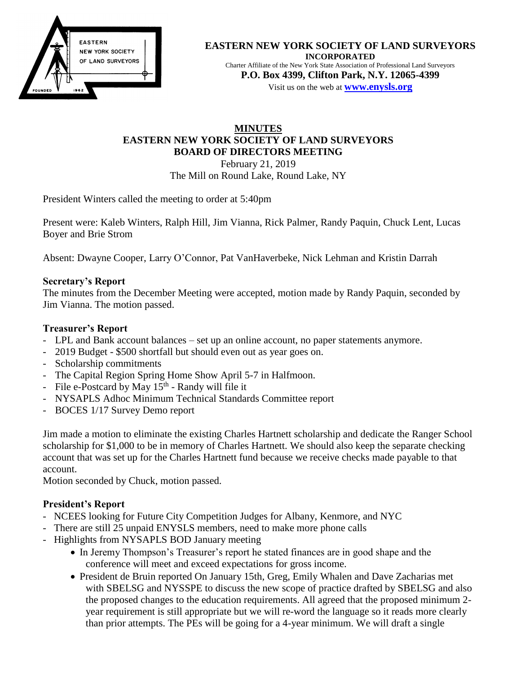

#### **EASTERN NEW YORK SOCIETY OF LAND SURVEYORS INCORPORATED** Charter Affiliate of the New York State Association of Professional Land Surveyors **P.O. Box 4399, Clifton Park, N.Y. 12065-4399** Visit us on the web at **[www.e](http://www.enysls.org/)nysls.org**

# **MINUTES EASTERN NEW YORK SOCIETY OF LAND SURVEYORS BOARD OF DIRECTORS MEETING** February 21, 2019

The Mill on Round Lake, Round Lake, NY

President Winters called the meeting to order at 5:40pm

Present were: Kaleb Winters, Ralph Hill, Jim Vianna, Rick Palmer, Randy Paquin, Chuck Lent, Lucas Boyer and Brie Strom

Absent: Dwayne Cooper, Larry O'Connor, Pat VanHaverbeke, Nick Lehman and Kristin Darrah

## **Secretary's Report**

The minutes from the December Meeting were accepted, motion made by Randy Paquin, seconded by Jim Vianna. The motion passed.

## **Treasurer's Report**

- LPL and Bank account balances set up an online account, no paper statements anymore.
- 2019 Budget \$500 shortfall but should even out as year goes on.
- Scholarship commitments
- The Capital Region Spring Home Show April 5-7 in Halfmoon.
- File e-Postcard by May  $15<sup>th</sup>$  Randy will file it
- NYSAPLS Adhoc Minimum Technical Standards Committee report
- BOCES 1/17 Survey Demo report

Jim made a motion to eliminate the existing Charles Hartnett scholarship and dedicate the Ranger School scholarship for \$1,000 to be in memory of Charles Hartnett. We should also keep the separate checking account that was set up for the Charles Hartnett fund because we receive checks made payable to that account.

Motion seconded by Chuck, motion passed.

## **President's Report**

- NCEES looking for Future City Competition Judges for Albany, Kenmore, and NYC
- There are still 25 unpaid ENYSLS members, need to make more phone calls
- Highlights from NYSAPLS BOD January meeting
	- In Jeremy Thompson's Treasurer's report he stated finances are in good shape and the conference will meet and exceed expectations for gross income.
	- President de Bruin reported On January 15th, Greg, Emily Whalen and Dave Zacharias met with SBELSG and NYSSPE to discuss the new scope of practice drafted by SBELSG and also the proposed changes to the education requirements. All agreed that the proposed minimum 2 year requirement is still appropriate but we will re-word the language so it reads more clearly than prior attempts. The PEs will be going for a 4-year minimum. We will draft a single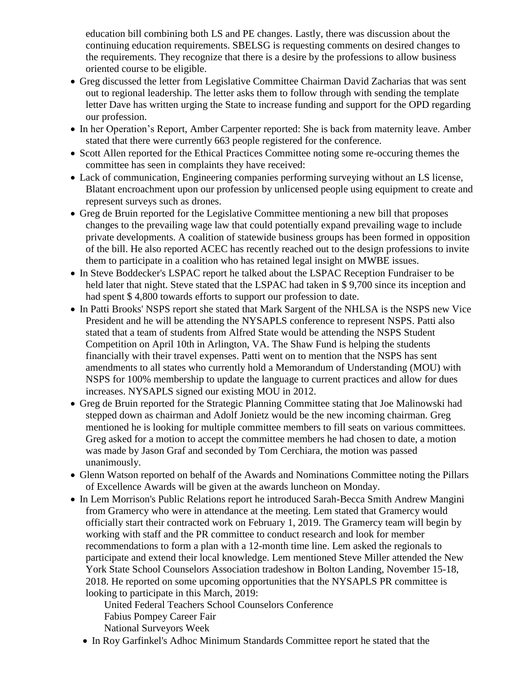education bill combining both LS and PE changes. Lastly, there was discussion about the continuing education requirements. SBELSG is requesting comments on desired changes to the requirements. They recognize that there is a desire by the professions to allow business oriented course to be eligible.

- Greg discussed the letter from Legislative Committee Chairman David Zacharias that was sent out to regional leadership. The letter asks them to follow through with sending the template letter Dave has written urging the State to increase funding and support for the OPD regarding our profession.
- In her Operation's Report, Amber Carpenter reported: She is back from maternity leave. Amber stated that there were currently 663 people registered for the conference.
- Scott Allen reported for the Ethical Practices Committee noting some re-occuring themes the committee has seen in complaints they have received:
- Lack of communication, Engineering companies performing surveying without an LS license, Blatant encroachment upon our profession by unlicensed people using equipment to create and represent surveys such as drones.
- Greg de Bruin reported for the Legislative Committee mentioning a new bill that proposes changes to the prevailing wage law that could potentially expand prevailing wage to include private developments. A coalition of statewide business groups has been formed in opposition of the bill. He also reported ACEC has recently reached out to the design professions to invite them to participate in a coalition who has retained legal insight on MWBE issues.
- In Steve Boddecker's LSPAC report he talked about the LSPAC Reception Fundraiser to be held later that night. Steve stated that the LSPAC had taken in \$9,700 since its inception and had spent \$4,800 towards efforts to support our profession to date.
- In Patti Brooks' NSPS report she stated that Mark Sargent of the NHLSA is the NSPS new Vice President and he will be attending the NYSAPLS conference to represent NSPS. Patti also stated that a team of students from Alfred State would be attending the NSPS Student Competition on April 10th in Arlington, VA. The Shaw Fund is helping the students financially with their travel expenses. Patti went on to mention that the NSPS has sent amendments to all states who currently hold a Memorandum of Understanding (MOU) with NSPS for 100% membership to update the language to current practices and allow for dues increases. NYSAPLS signed our existing MOU in 2012.
- Greg de Bruin reported for the Strategic Planning Committee stating that Joe Malinowski had stepped down as chairman and Adolf Jonietz would be the new incoming chairman. Greg mentioned he is looking for multiple committee members to fill seats on various committees. Greg asked for a motion to accept the committee members he had chosen to date, a motion was made by Jason Graf and seconded by Tom Cerchiara, the motion was passed unanimously.
- Glenn Watson reported on behalf of the Awards and Nominations Committee noting the Pillars of Excellence Awards will be given at the awards luncheon on Monday.
- In Lem Morrison's Public Relations report he introduced Sarah-Becca Smith Andrew Mangini from Gramercy who were in attendance at the meeting. Lem stated that Gramercy would officially start their contracted work on February 1, 2019. The Gramercy team will begin by working with staff and the PR committee to conduct research and look for member recommendations to form a plan with a 12-month time line. Lem asked the regionals to participate and extend their local knowledge. Lem mentioned Steve Miller attended the New York State School Counselors Association tradeshow in Bolton Landing, November 15-18, 2018. He reported on some upcoming opportunities that the NYSAPLS PR committee is looking to participate in this March, 2019:

United Federal Teachers School Counselors Conference Fabius Pompey Career Fair National Surveyors Week

• In Roy Garfinkel's Adhoc Minimum Standards Committee report he stated that the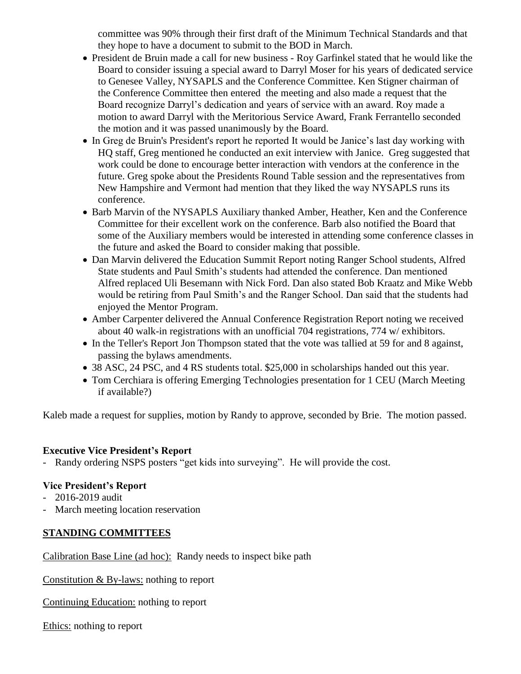committee was 90% through their first draft of the Minimum Technical Standards and that they hope to have a document to submit to the BOD in March.

- President de Bruin made a call for new business Roy Garfinkel stated that he would like the Board to consider issuing a special award to Darryl Moser for his years of dedicated service to Genesee Valley, NYSAPLS and the Conference Committee. Ken Stigner chairman of the Conference Committee then entered the meeting and also made a request that the Board recognize Darryl's dedication and years of service with an award. Roy made a motion to award Darryl with the Meritorious Service Award, Frank Ferrantello seconded the motion and it was passed unanimously by the Board.
- In Greg de Bruin's President's report he reported It would be Janice's last day working with HQ staff, Greg mentioned he conducted an exit interview with Janice. Greg suggested that work could be done to encourage better interaction with vendors at the conference in the future. Greg spoke about the Presidents Round Table session and the representatives from New Hampshire and Vermont had mention that they liked the way NYSAPLS runs its conference.
- Barb Marvin of the NYSAPLS Auxiliary thanked Amber, Heather, Ken and the Conference Committee for their excellent work on the conference. Barb also notified the Board that some of the Auxiliary members would be interested in attending some conference classes in the future and asked the Board to consider making that possible.
- Dan Marvin delivered the Education Summit Report noting Ranger School students, Alfred State students and Paul Smith's students had attended the conference. Dan mentioned Alfred replaced Uli Besemann with Nick Ford. Dan also stated Bob Kraatz and Mike Webb would be retiring from Paul Smith's and the Ranger School. Dan said that the students had enjoyed the Mentor Program.
- Amber Carpenter delivered the Annual Conference Registration Report noting we received about 40 walk-in registrations with an unofficial 704 registrations, 774 w/ exhibitors.
- In the Teller's Report Jon Thompson stated that the vote was tallied at 59 for and 8 against, passing the bylaws amendments.
- 38 ASC, 24 PSC, and 4 RS students total. \$25,000 in scholarships handed out this year.
- Tom Cerchiara is offering Emerging Technologies presentation for 1 CEU (March Meeting if available?)

Kaleb made a request for supplies, motion by Randy to approve, seconded by Brie. The motion passed.

## **Executive Vice President's Report**

- Randy ordering NSPS posters "get kids into surveying". He will provide the cost.

## **Vice President's Report**

- 2016-2019 audit
- March meeting location reservation

## **STANDING COMMITTEES**

Calibration Base Line (ad hoc): Randy needs to inspect bike path

Constitution & By-laws: nothing to report

Continuing Education: nothing to report

Ethics: nothing to report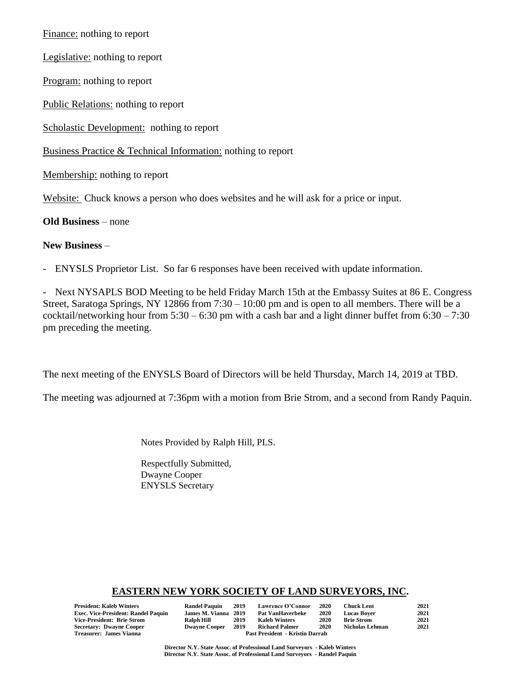Finance: nothing to report

Legislative: nothing to report

Program: nothing to report

Public Relations: nothing to report

Scholastic Development: nothing to report

Business Practice & Technical Information: nothing to report

Membership: nothing to report

Website: Chuck knows a person who does websites and he will ask for a price or input.

#### **Old Business** – none

#### **New Business** –

- ENYSLS Proprietor List. So far 6 responses have been received with update information.

- Next NYSAPLS BOD Meeting to be held Friday March 15th at the Embassy Suites at 86 E. Congress Street, Saratoga Springs, NY 12866 from 7:30 – 10:00 pm and is open to all members. There will be a cocktail/networking hour from  $5:30 - 6:30$  pm with a cash bar and a light dinner buffet from  $6:30 - 7:30$ pm preceding the meeting.

The next meeting of the ENYSLS Board of Directors will be held Thursday, March 14, 2019 at TBD.

The meeting was adjourned at 7:36pm with a motion from Brie Strom, and a second from Randy Paquin.

Notes Provided by Ralph Hill, PLS.

Respectfully Submitted, Dwayne Cooper ENYSLS Secretary

### **EASTERN NEW YORK SOCIETY OF LAND SURVEYORS, INC.**

| President: Kaleb Winters            | <b>Randel Paquin</b>                   | - 2019 | Lawrence O'Connor       | 2020 | <b>Chuck Lent</b>      | 2021 |
|-------------------------------------|----------------------------------------|--------|-------------------------|------|------------------------|------|
| Exec. Vice-President: Randel Paquin | James M. Vianna 2019                   |        | <b>Pat VanHaverbeke</b> | 2020 | <b>Lucas Bover</b>     | 2021 |
| Vice-President: Brie Strom          | Ralph Hill                             | 2019   | <b>Kaleb Winters</b>    | 2020 | <b>Brie Strom</b>      | 2021 |
| Secretary: Dwayne Cooper            | <b>Dwayne Cooper</b>                   | 2019   | <b>Richard Palmer</b>   | 2020 | <b>Nicholas Lehman</b> | 2021 |
| Treasurer: James Vianna             | <b>Past President - Kristin Darrah</b> |        |                         |      |                        |      |